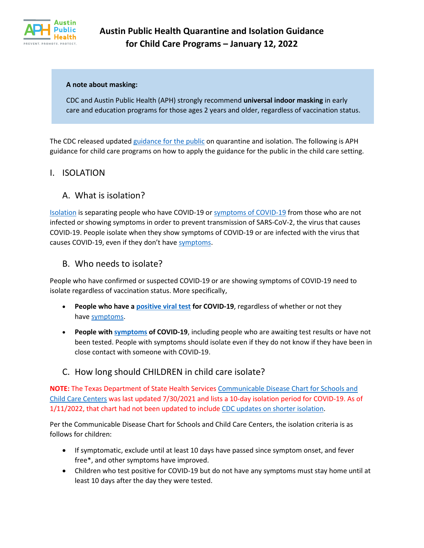

#### **A note about masking:**

CDC and Austin Public Health (APH) strongly recommend **universal indoor masking** in early care and education programs for those ages 2 years and older, regardless of vaccination status.

The CDC released update[d guidance for the public](https://www.cdc.gov/coronavirus/2019-ncov/your-health/quarantine-isolation.html?mc_cid=2769610b26&mc_eid=UNIQID) on quarantine and isolation. The following is APH guidance for child care programs on how to apply the guidance for the public in the child care setting.

#### I. ISOLATION

### A. What is isolation?

[Isolation](https://www.cdc.gov/coronavirus/2019-ncov/your-health/quarantine-isolation.html) is separating people who have COVID-19 or [symptoms of COVID-19](https://www.cdc.gov/coronavirus/2019-ncov/symptoms-testing/symptoms.html) from those who are not infected or showing symptoms in order to prevent transmission of SARS-CoV-2, the virus that causes COVID-19. People isolate when they show symptoms of COVID-19 or are infected with the virus that causes COVID-19, even if they don't have [symptoms.](https://www.cdc.gov/coronavirus/2019-ncov/symptoms-testing/symptoms.html)

#### B. Who needs to isolate?

People who have confirmed or suspected COVID-19 or are showing symptoms of COVID-19 need to isolate regardless of vaccination status. More specifically,

- **People who have a [positive viral test](https://www.cdc.gov/coronavirus/2019-ncov/testing/diagnostic-testing.html) for COVID-19**, regardless of whether or not they have [symptoms.](https://www.cdc.gov/coronavirus/2019-ncov/symptoms-testing/symptoms.html)
- **People with [symptoms](https://www.cdc.gov/coronavirus/2019-ncov/symptoms-testing/symptoms.html) of COVID-19**, including people who are awaiting test results or have not been tested. People with symptoms should isolate even if they do not know if they have been in close contact with someone with COVID-19.

## C. How long should CHILDREN in child care isolate?

**NOTE:** The Texas Department of State Health Services [Communicable Disease Chart for Schools and](https://dshs.texas.gov/IDCU/health/schools_childcare/Communicable-Disease-Chart-Schools-and-Childcare-Centers-073021.pdf)  [Child Care Centers](https://dshs.texas.gov/IDCU/health/schools_childcare/Communicable-Disease-Chart-Schools-and-Childcare-Centers-073021.pdf) was last updated 7/30/2021 and lists a 10-day isolation period for COVID-19. As of 1/11/2022, that chart had not been updated to include [CDC updates on shorter isolation.](https://www.cdc.gov/coronavirus/2019-ncov/your-health/quarantine-isolation.html?mc_cid=2769610b26&mc_eid=UNIQID)

Per the Communicable Disease Chart for Schools and Child Care Centers, the isolation criteria is as follows for children:

- If symptomatic, exclude until at least 10 days have passed since symptom onset, and fever free\*, and other symptoms have improved.
- Children who test positive for COVID-19 but do not have any symptoms must stay home until at least 10 days after the day they were tested.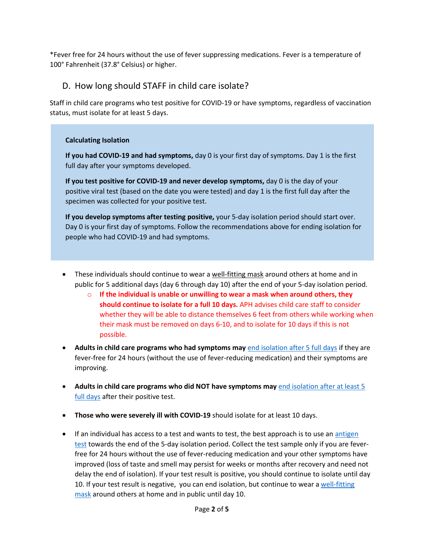\*Fever free for 24 hours without the use of fever suppressing medications. Fever is a temperature of 100° Fahrenheit (37.8° Celsius) or higher.

# D. How long should STAFF in child care isolate?

Staff in child care programs who test positive for COVID-19 or have symptoms, regardless of vaccination status, must isolate for at least 5 days.

#### **Calculating Isolation**

**If you had COVID-19 and had [symptoms,](https://www.cdc.gov/coronavirus/2019-ncov/symptoms-testing/symptoms.html)** day 0 is your first day of symptoms. Day 1 is the first full day after your symptoms developed.

**If you test positive for COVID-19 and never develop [symptoms,](https://www.cdc.gov/coronavirus/2019-ncov/symptoms-testing/symptoms.html)** day 0 is the day of your positive viral test (based on the date you were tested) and day 1 is the first full day after the specimen was collected for your positive test.

**If you develop symptoms after testing positive,** your 5-day isolation period should start over. Day 0 is your first day of symptoms. Follow the recommendations above for ending isolation for people who had COVID-19 and had symptoms.

- These individuals should continue to wear a [well-fitting mask](https://www.cdc.gov/coronavirus/2019-ncov/your-health/effective-masks.html) around others at home and in public for 5 additional days (day 6 through day 10) after the end of your 5-day isolation period.
	- o **If the individual is unable or unwilling to wear a mask when around others, they should continue to isolate for a full 10 days.** APH advises child care staff to consider whether they will be able to distance themselves 6 feet from others while working when their mask must be removed on days 6-10, and to isolate for 10 days if this is not possible.
- **Adults in child care programs who had symptoms may** [end isolation after 5 full days](https://www.cdc.gov/coronavirus/2019-ncov/your-health/quarantine-isolation.html#end-isolation-symptoms) if they are fever-free for 24 hours (without the use of fever-reducing medication) and their symptoms are improving.
- **Adults in child care programs who did NOT have symptoms may** [end isolation after at least 5](https://www.cdc.gov/coronavirus/2019-ncov/your-health/quarantine-isolation.html#end-isolation)  [full days](https://www.cdc.gov/coronavirus/2019-ncov/your-health/quarantine-isolation.html#end-isolation) after their positive test.
- **Those who were severely ill with COVID-19** should isolate for at least 10 days.
- If an individual has access to a test and wants to test, the best approach is to use an antigen [test](https://www.cdc.gov/coronavirus/2019-ncov/hcp/testing-overview.html) towards the end of the 5-day isolation period. Collect the test sample only if you are feverfree for 24 hours without the use of fever-reducing medication and your other symptoms have improved (loss of taste and smell may persist for weeks or months after recovery and need not delay the end of isolation). If your test result is positive, you should continue to isolate until day 10. If your test result is negative, you can end isolation, but continue to wear a well-fitting [mask](https://www.cdc.gov/coronavirus/2019-ncov/your-health/effective-masks.html) around others at home and in public until day 10.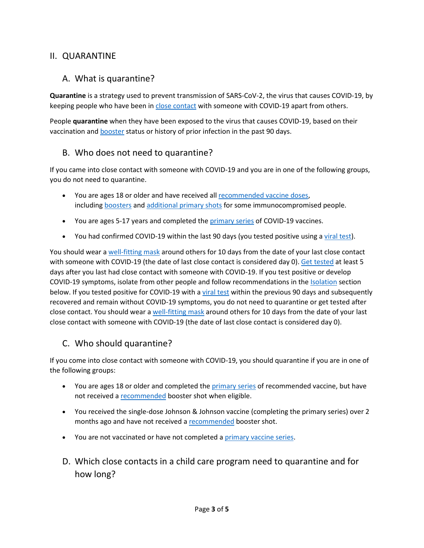# II. QUARANTINE

# A. What is quarantine?

**Quarantine** is a strategy used to prevent transmission of SARS-CoV-2, the virus that causes COVID-19, by keeping people who have been in [close contact](https://www.cdc.gov/coronavirus/2019-ncov/php/contact-tracing/contact-tracing-plan/appendix.html#contact) with someone with COVID-19 apart from others.

People **quarantine** when they have been exposed to the virus that causes COVID-19, based on their vaccination and [booster](https://www.cdc.gov/coronavirus/2019-ncov/vaccines/stay-up-to-date.html) status or history of prior infection in the past 90 days.

# B. Who does not need to quarantine?

If you came into close contact with someone with COVID-19 and you are in one of the following groups, you do not need to quarantine.

- You are ages 18 or older and have received all [recommended vaccine](https://www.cdc.gov/coronavirus/2019-ncov/vaccines/booster-shot.html) doses, including [boosters](https://www.cdc.gov/coronavirus/2019-ncov/vaccines/booster-shot.html) and [additional primary shots](https://www.cdc.gov/coronavirus/2019-ncov/vaccines/recommendations/immuno.html) for some immunocompromised people.
- You are ages 5-17 years and completed the [primary series](https://www.cdc.gov/vaccines/covid-19/clinical-considerations/covid-19-vaccines-us.html?CDC_AA_refVal=https%3A%2F%2Fwww.cdc.gov%2Fvaccines%2Fcovid-19%2Finfo-by-product%2Fclinical-considerations.html#children) of COVID-19 vaccines.
- You had confirmed COVID-19 within the last 90 days (you tested positive using a [viral test\)](https://www.cdc.gov/coronavirus/2019-ncov/symptoms-testing/testing.html).

You should wear a [well-fitting mask](https://www.cdc.gov/coronavirus/2019-ncov/your-health/effective-masks.html) around others for 10 days from the date of your last close contact with someone with COVID-19 (the date of last close contact is considered day 0). [Get tested](https://www.cdc.gov/coronavirus/2019-ncov/testing/diagnostic-testing.html) at least 5 days after you last had close contact with someone with COVID-19. If you test positive or develop COVID-19 symptoms, isolate from other people and follow recommendations in the [Isolation](https://www.cdc.gov/coronavirus/2019-ncov/your-health/quarantine-isolation.html#isolate) section below. If you tested positive for COVID-19 with a [viral test](https://www.cdc.gov/coronavirus/2019-ncov/symptoms-testing/testing.html) within the previous 90 days and subsequently recovered and remain without COVID-19 symptoms, you do not need to quarantine or get tested after close contact. You should wear a [well-fitting mask](https://www.cdc.gov/coronavirus/2019-ncov/your-health/effective-masks.html) around others for 10 days from the date of your last close contact with someone with COVID-19 (the date of last close contact is considered day 0).

## C. Who should quarantine?

If you come into close contact with someone with COVID-19, you should quarantine if you are in one of the following groups:

- You are ages 18 or older and completed the *[primary series](https://www.cdc.gov/vaccines/covid-19/clinical-considerations/covid-19-vaccines-us.html?CDC_AA_refVal=https%3A%2F%2Fwww.cdc.gov%2Fvaccines%2Fcovid-19%2Finfo-by-product%2Fclinical-considerations.html)* of recommended vaccine, but have not received a [recommended](https://www.cdc.gov/coronavirus/2019-ncov/vaccines/booster-shot.html) booster shot when eligible.
- You received the single-dose Johnson & Johnson vaccine (completing the primary series) over 2 months ago and have not received a [recommended](https://www.cdc.gov/coronavirus/2019-ncov/vaccines/booster-shot.html) booster shot.
- You are not vaccinated or have not completed a [primary vaccine series.](https://www.cdc.gov/vaccines/covid-19/clinical-considerations/covid-19-vaccines-us.html?CDC_AA_refVal=https%3A%2F%2Fwww.cdc.gov%2Fvaccines%2Fcovid-19%2Finfo-by-product%2Fclinical-considerations.html)
- D. Which close contacts in a child care program need to quarantine and for how long?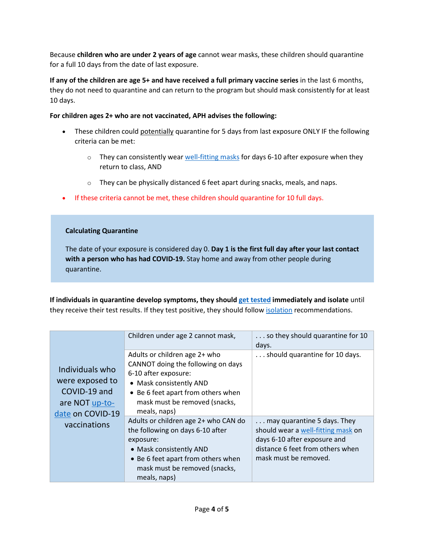Because **children who are under 2 years of age** cannot wear masks, these children should quarantine for a full 10 days from the date of last exposure.

**If any of the children are age 5+ and have received a full primary vaccine series** in the last 6 months, they do not need to quarantine and can return to the program but should mask consistently for at least 10 days.

#### **For children ages 2+ who are not vaccinated, APH advises the following:**

- These children could potentially quarantine for 5 days from last exposure ONLY IF the following criteria can be met:
	- $\circ$  They can consistently wear [well-fitting masks](https://www.cdc.gov/coronavirus/2019-ncov/your-health/effective-masks.html) for days 6-10 after exposure when they return to class, AND
	- o They can be physically distanced 6 feet apart during snacks, meals, and naps.
- If these criteria cannot be met, these children should quarantine for 10 full days.

#### **Calculating Quarantine**

The date of your exposure is considered day 0. **Day 1 is the first full day after your last contact with a person who has had COVID-19.** Stay home and away from other people during quarantine.

**If individuals in quarantine develop symptoms, they should [get tested](https://www.cdc.gov/coronavirus/2019-ncov/testing/diagnostic-testing.html) immediately and isolate** until they receive their test results. If they test positive, they should follow [isolation](https://www.cdc.gov/coronavirus/2019-ncov/community/schools-childcare/k-12-contact-tracing/about-isolation.html) recommendations.

|                                                                                                          | Children under age 2 cannot mask,                                                                                                                                                                             | so they should quarantine for 10<br>days.                                                                                                                      |
|----------------------------------------------------------------------------------------------------------|---------------------------------------------------------------------------------------------------------------------------------------------------------------------------------------------------------------|----------------------------------------------------------------------------------------------------------------------------------------------------------------|
| Individuals who<br>were exposed to<br>COVID-19 and<br>are NOT up-to-<br>date on COVID-19<br>vaccinations | Adults or children age 2+ who<br>CANNOT doing the following on days<br>6-10 after exposure:<br>• Mask consistently AND<br>• Be 6 feet apart from others when<br>mask must be removed (snacks,<br>meals, naps) | should quarantine for 10 days.                                                                                                                                 |
|                                                                                                          | Adults or children age 2+ who CAN do<br>the following on days 6-10 after<br>exposure:<br>• Mask consistently AND<br>• Be 6 feet apart from others when<br>mask must be removed (snacks,<br>meals, naps)       | may quarantine 5 days. They<br>should wear a well-fitting mask on<br>days 6-10 after exposure and<br>distance 6 feet from others when<br>mask must be removed. |